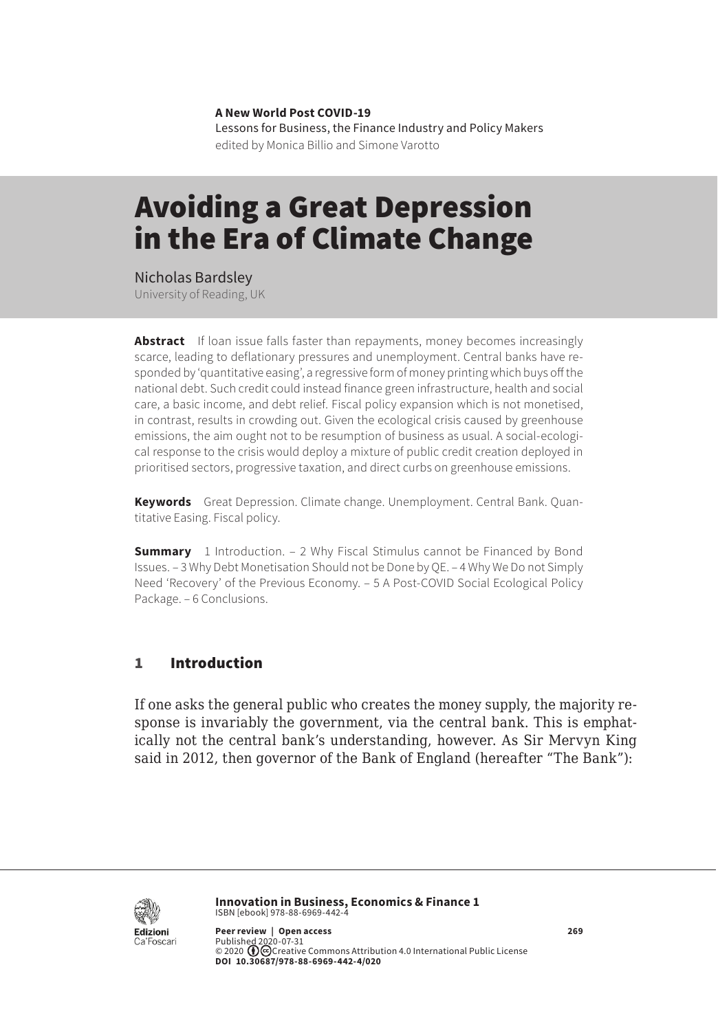**A New World Post COVID-19** Lessons for Business, the Finance Industry and Policy Makers edited by Monica Billio and Simone Varotto

# Avoiding a Great Depression in the Era of Climate Change

Nicholas Bardsley University of Reading, UK

**Abstract** If loan issue falls faster than repayments, money becomes increasingly scarce, leading to deflationary pressures and unemployment. Central banks have responded by 'quantitative easing', a regressive form of money printing which buys off the national debt. Such credit could instead finance green infrastructure, health and social care, a basic income, and debt relief. Fiscal policy expansion which is not monetised, in contrast, results in crowding out. Given the ecological crisis caused by greenhouse emissions, the aim ought not to be resumption of business as usual. A social-ecological response to the crisis would deploy a mixture of public credit creation deployed in prioritised sectors, progressive taxation, and direct curbs on greenhouse emissions.

**Keywords** Great Depression. Climate change. Unemployment. Central Bank. Quantitative Easing. Fiscal policy.

**Summary** [1 Introduction](#page-1-0). – 2 Why Fiscal Stimulus cannot be Financed by Bond [Issues.](#page-2-0) – [3 Why Debt Monetisation Should not be Done by QE](#page-3-0). – [4 Why We Do not Simply](#page-4-0)  [Need 'Recovery' of the Previous Economy](#page-4-0). – [5 A Post-COVID Social Ecological Policy](#page-5-0)  [Package.](#page-5-0) – [6 Conclusions.](#page-7-0)

## 1 Introduction

If one asks the general public who creates the money supply, the majority response is invariably the government, via the central bank. This is emphatically not the central bank's understanding, however. As Sir Mervyn King said in 2012, then governor of the Bank of England (hereafter "The Bank"):



**Innovation in Business, Economics & Finance 1** ISBN [ebook] 978-88-6969-442-4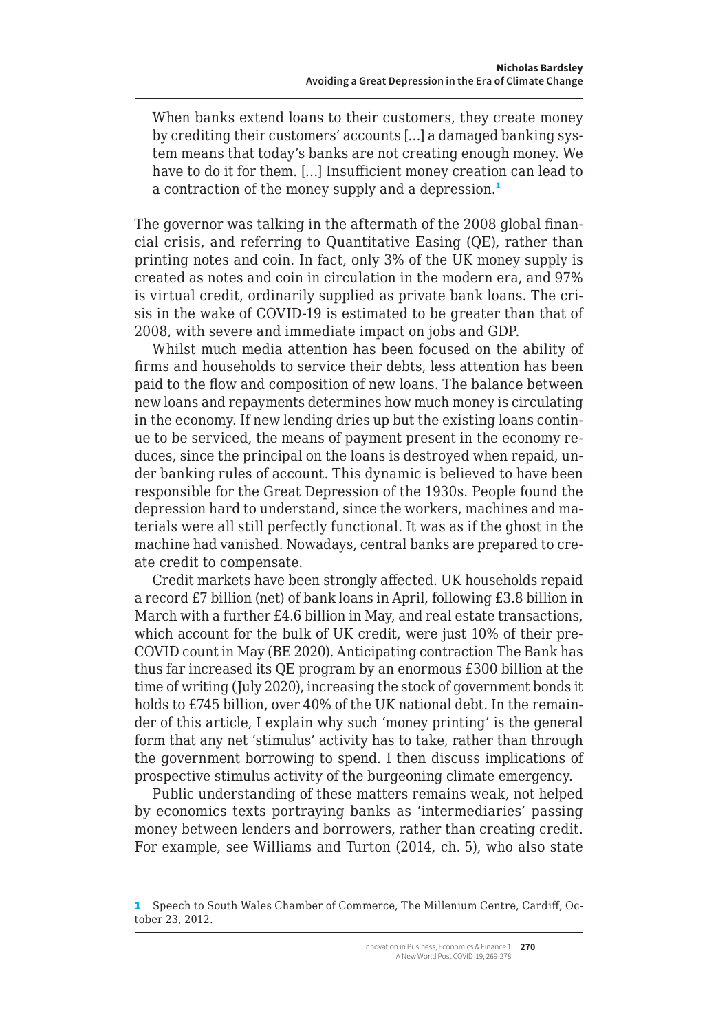<span id="page-1-0"></span>When banks extend loans to their customers, they create money by crediting their customers' accounts […] a damaged banking system means that today's banks are not creating enough money. We have to do it for them. […] Insufficient money creation can lead to a contraction of the money supply and a depression.<sup>1</sup>

The governor was talking in the aftermath of the 2008 global financial crisis, and referring to Quantitative Easing (QE), rather than printing notes and coin. In fact, only 3% of the UK money supply is created as notes and coin in circulation in the modern era, and 97% is virtual credit, ordinarily supplied as private bank loans. The crisis in the wake of COVID-19 is estimated to be greater than that of 2008, with severe and immediate impact on jobs and GDP.

Whilst much media attention has been focused on the ability of firms and households to service their debts, less attention has been paid to the flow and composition of new loans. The balance between new loans and repayments determines how much money is circulating in the economy. If new lending dries up but the existing loans continue to be serviced, the means of payment present in the economy reduces, since the principal on the loans is destroyed when repaid, under banking rules of account. This dynamic is believed to have been responsible for the Great Depression of the 1930s. People found the depression hard to understand, since the workers, machines and materials were all still perfectly functional. It was as if the ghost in the machine had vanished. Nowadays, central banks are prepared to create credit to compensate.

Credit markets have been strongly affected. UK households repaid a record £7 billion (net) of bank loans in April, following £3.8 billion in March with a further £4.6 billion in May, and real estate transactions, which account for the bulk of UK credit, were just 10% of their pre-COVID count in May (BE 2020). Anticipating contraction The Bank has thus far increased its QE program by an enormous £300 billion at the time of writing (July 2020), increasing the stock of government bonds it holds to £745 billion, over 40% of the UK national debt. In the remainder of this article, I explain why such 'money printing' is the general form that any net 'stimulus' activity has to take, rather than through the government borrowing to spend. I then discuss implications of prospective stimulus activity of the burgeoning climate emergency.

Public understanding of these matters remains weak, not helped by economics texts portraying banks as 'intermediaries' passing money between lenders and borrowers, rather than creating credit. For example, see Williams and Turton (2014, ch. 5), who also state

<sup>1</sup> Speech to South Wales Chamber of Commerce, The Millenium Centre, Cardiff, October 23, 2012.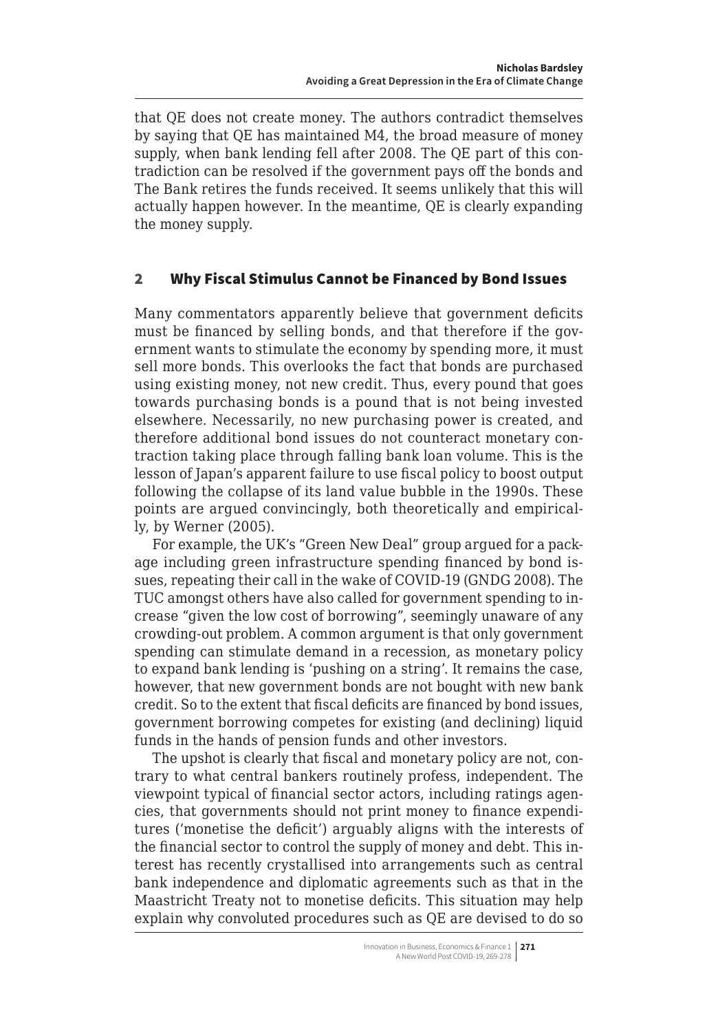<span id="page-2-0"></span>that QE does not create money. The authors contradict themselves by saying that QE has maintained M4, the broad measure of money supply, when bank lending fell after 2008. The QE part of this contradiction can be resolved if the government pays off the bonds and The Bank retires the funds received. It seems unlikely that this will actually happen however. In the meantime, QE is clearly expanding the money supply.

### 2 Why Fiscal Stimulus Cannot be Financed by Bond Issues

Many commentators apparently believe that government deficits must be financed by selling bonds, and that therefore if the government wants to stimulate the economy by spending more, it must sell more bonds. This overlooks the fact that bonds are purchased using existing money, not new credit. Thus, every pound that goes towards purchasing bonds is a pound that is not being invested elsewhere. Necessarily, no new purchasing power is created, and therefore additional bond issues do not counteract monetary contraction taking place through falling bank loan volume. This is the lesson of Japan's apparent failure to use fiscal policy to boost output following the collapse of its land value bubble in the 1990s. These points are argued convincingly, both theoretically and empirically, by Werner (2005).

For example, the UK's "Green New Deal" group argued for a package including green infrastructure spending financed by bond issues, repeating their call in the wake of COVID-19 (GNDG 2008). The TUC amongst others have also called for government spending to increase "given the low cost of borrowing", seemingly unaware of any crowding-out problem. A common argument is that only government spending can stimulate demand in a recession, as monetary policy to expand bank lending is 'pushing on a string'. It remains the case, however, that new government bonds are not bought with new bank credit. So to the extent that fiscal deficits are financed by bond issues, government borrowing competes for existing (and declining) liquid funds in the hands of pension funds and other investors.

The upshot is clearly that fiscal and monetary policy are not, contrary to what central bankers routinely profess, independent. The viewpoint typical of financial sector actors, including ratings agencies, that governments should not print money to finance expenditures ('monetise the deficit') arguably aligns with the interests of the financial sector to control the supply of money and debt. This interest has recently crystallised into arrangements such as central bank independence and diplomatic agreements such as that in the Maastricht Treaty not to monetise deficits. This situation may help explain why convoluted procedures such as QE are devised to do so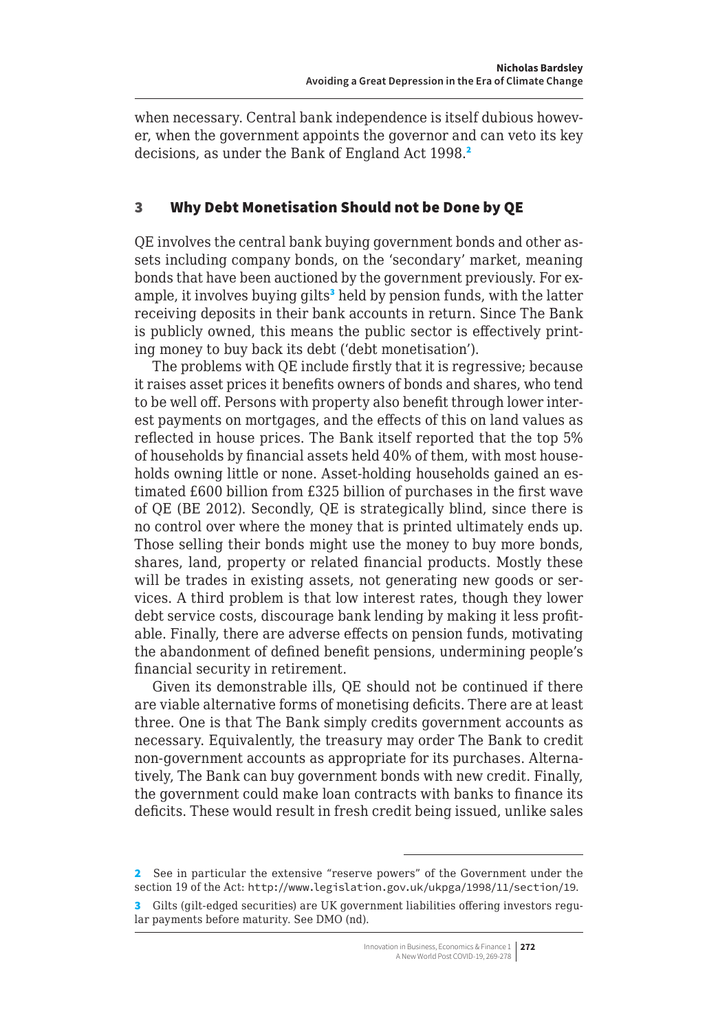<span id="page-3-0"></span>when necessary. Central bank independence is itself dubious however, when the government appoints the governor and can veto its key decisions, as under the Bank of England Act 1998.<sup>2</sup>

### 3 Why Debt Monetisation Should not be Done by QE

QE involves the central bank buying government bonds and other assets including company bonds, on the 'secondary' market, meaning bonds that have been auctioned by the government previously. For example, it involves buying gilts<sup>3</sup> held by pension funds, with the latter receiving deposits in their bank accounts in return. Since The Bank is publicly owned, this means the public sector is effectively printing money to buy back its debt ('debt monetisation').

The problems with QE include firstly that it is regressive; because it raises asset prices it benefits owners of bonds and shares, who tend to be well off. Persons with property also benefit through lower interest payments on mortgages, and the effects of this on land values as reflected in house prices. The Bank itself reported that the top 5% of households by financial assets held 40% of them, with most households owning little or none. Asset-holding households gained an estimated £600 billion from £325 billion of purchases in the first wave of QE (BE 2012). Secondly, QE is strategically blind, since there is no control over where the money that is printed ultimately ends up. Those selling their bonds might use the money to buy more bonds, shares, land, property or related financial products. Mostly these will be trades in existing assets, not generating new goods or services. A third problem is that low interest rates, though they lower debt service costs, discourage bank lending by making it less profitable. Finally, there are adverse effects on pension funds, motivating the abandonment of defined benefit pensions, undermining people's financial security in retirement.

Given its demonstrable ills, QE should not be continued if there are viable alternative forms of monetising deficits. There are at least three. One is that The Bank simply credits government accounts as necessary. Equivalently, the treasury may order The Bank to credit non-government accounts as appropriate for its purchases. Alternatively, The Bank can buy government bonds with new credit. Finally, the government could make loan contracts with banks to finance its deficits. These would result in fresh credit being issued, unlike sales

<sup>2</sup> See in particular the extensive "reserve powers" of the Government under the section 19 of the Act: <http://www.legislation.gov.uk/ukpga/1998/11/section/19>.

<sup>3</sup> Gilts (gilt-edged securities) are UK government liabilities offering investors regular payments before maturity. See DMO (nd).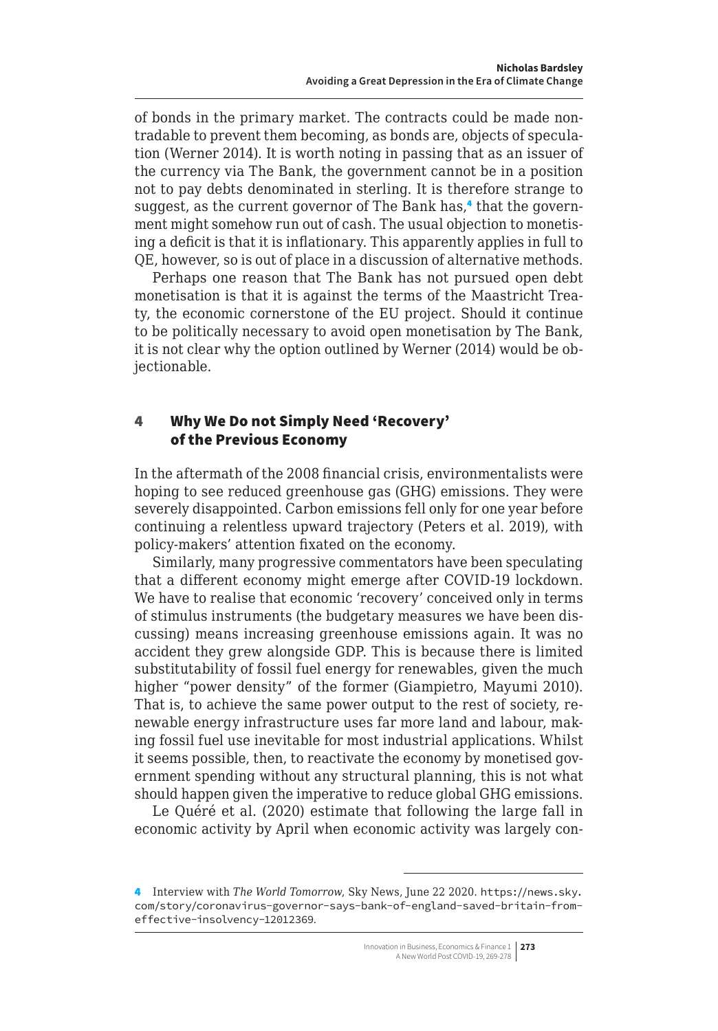<span id="page-4-0"></span>of bonds in the primary market. The contracts could be made nontradable to prevent them becoming, as bonds are, objects of speculation (Werner 2014). It is worth noting in passing that as an issuer of the currency via The Bank, the government cannot be in a position not to pay debts denominated in sterling. It is therefore strange to suggest, as the current governor of The Bank has,<sup>4</sup> that the government might somehow run out of cash. The usual objection to monetising a deficit is that it is inflationary. This apparently applies in full to QE, however, so is out of place in a discussion of alternative methods.

Perhaps one reason that The Bank has not pursued open debt monetisation is that it is against the terms of the Maastricht Treaty, the economic cornerstone of the EU project. Should it continue to be politically necessary to avoid open monetisation by The Bank, it is not clear why the option outlined by Werner (2014) would be objectionable.

### 4 Why We Do not Simply Need 'Recovery' of the Previous Economy

In the aftermath of the 2008 financial crisis, environmentalists were hoping to see reduced greenhouse gas (GHG) emissions. They were severely disappointed. Carbon emissions fell only for one year before continuing a relentless upward trajectory (Peters et al. 2019), with policy-makers' attention fixated on the economy.

Similarly, many progressive commentators have been speculating that a different economy might emerge after COVID-19 lockdown. We have to realise that economic 'recovery' conceived only in terms of stimulus instruments (the budgetary measures we have been discussing) means increasing greenhouse emissions again. It was no accident they grew alongside GDP. This is because there is limited substitutability of fossil fuel energy for renewables, given the much higher "power density" of the former (Giampietro, Mayumi 2010). That is, to achieve the same power output to the rest of society, renewable energy infrastructure uses far more land and labour, making fossil fuel use inevitable for most industrial applications. Whilst it seems possible, then, to reactivate the economy by monetised government spending without any structural planning, this is not what should happen given the imperative to reduce global GHG emissions.

Le Quéré et al. (2020) estimate that following the large fall in economic activity by April when economic activity was largely con-

<sup>4</sup> Interview with *The World Tomorrow*, Sky News, June 22 2020. [https://news.sky.](https://news.sky.com/story/coronavirus-governor-says-bank-of-england-saved-britain-from-effective-insolvency-12012369) [com/story/coronavirus-governor-says-bank-of-england-saved-britain-from](https://news.sky.com/story/coronavirus-governor-says-bank-of-england-saved-britain-from-effective-insolvency-12012369)[effective-insolvency-12012369](https://news.sky.com/story/coronavirus-governor-says-bank-of-england-saved-britain-from-effective-insolvency-12012369).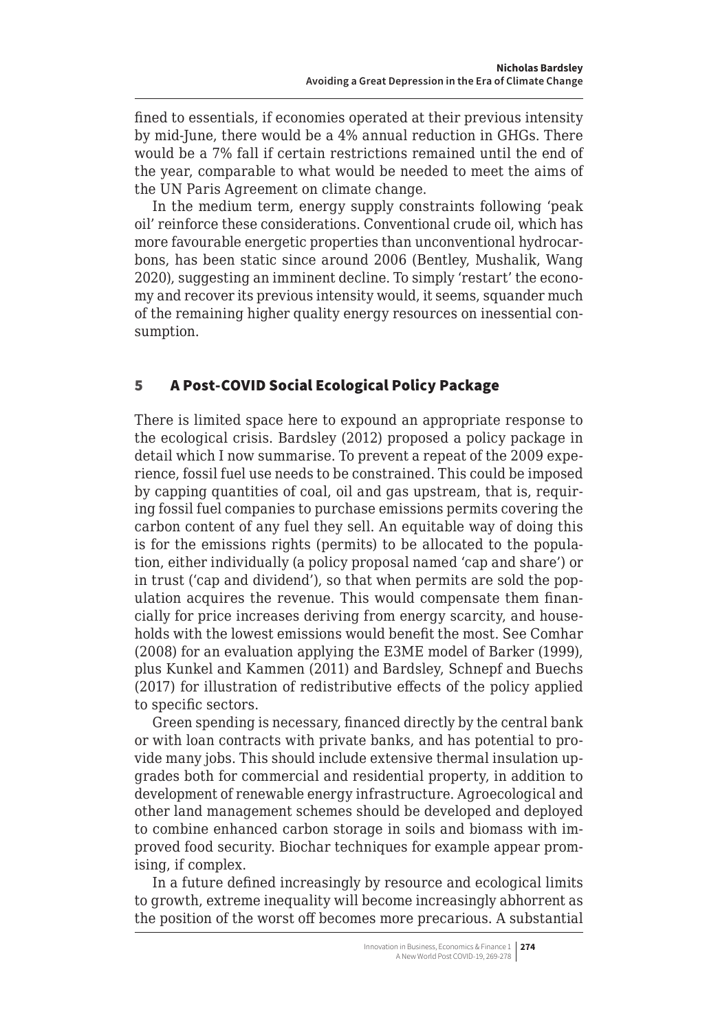<span id="page-5-0"></span>fined to essentials, if economies operated at their previous intensity by mid-June, there would be a 4% annual reduction in GHGs. There would be a 7% fall if certain restrictions remained until the end of the year, comparable to what would be needed to meet the aims of the UN Paris Agreement on climate change.

In the medium term, energy supply constraints following 'peak oil' reinforce these considerations. Conventional crude oil, which has more favourable energetic properties than unconventional hydrocarbons, has been static since around 2006 (Bentley, Mushalik, Wang 2020), suggesting an imminent decline. To simply 'restart' the economy and recover its previous intensity would, it seems, squander much of the remaining higher quality energy resources on inessential consumption.

## 5 A Post-COVID Social Ecological Policy Package

There is limited space here to expound an appropriate response to the ecological crisis. Bardsley (2012) proposed a policy package in detail which I now summarise. To prevent a repeat of the 2009 experience, fossil fuel use needs to be constrained. This could be imposed by capping quantities of coal, oil and gas upstream, that is, requiring fossil fuel companies to purchase emissions permits covering the carbon content of any fuel they sell. An equitable way of doing this is for the emissions rights (permits) to be allocated to the population, either individually (a policy proposal named 'cap and share') or in trust ('cap and dividend'), so that when permits are sold the population acquires the revenue. This would compensate them financially for price increases deriving from energy scarcity, and households with the lowest emissions would benefit the most. See Comhar (2008) for an evaluation applying the E3ME model of Barker (1999), plus Kunkel and Kammen (2011) and Bardsley, Schnepf and Buechs (2017) for illustration of redistributive effects of the policy applied to specific sectors.

Green spending is necessary, financed directly by the central bank or with loan contracts with private banks, and has potential to provide many jobs. This should include extensive thermal insulation upgrades both for commercial and residential property, in addition to development of renewable energy infrastructure. Agroecological and other land management schemes should be developed and deployed to combine enhanced carbon storage in soils and biomass with improved food security. Biochar techniques for example appear promising, if complex.

In a future defined increasingly by resource and ecological limits to growth, extreme inequality will become increasingly abhorrent as the position of the worst off becomes more precarious. A substantial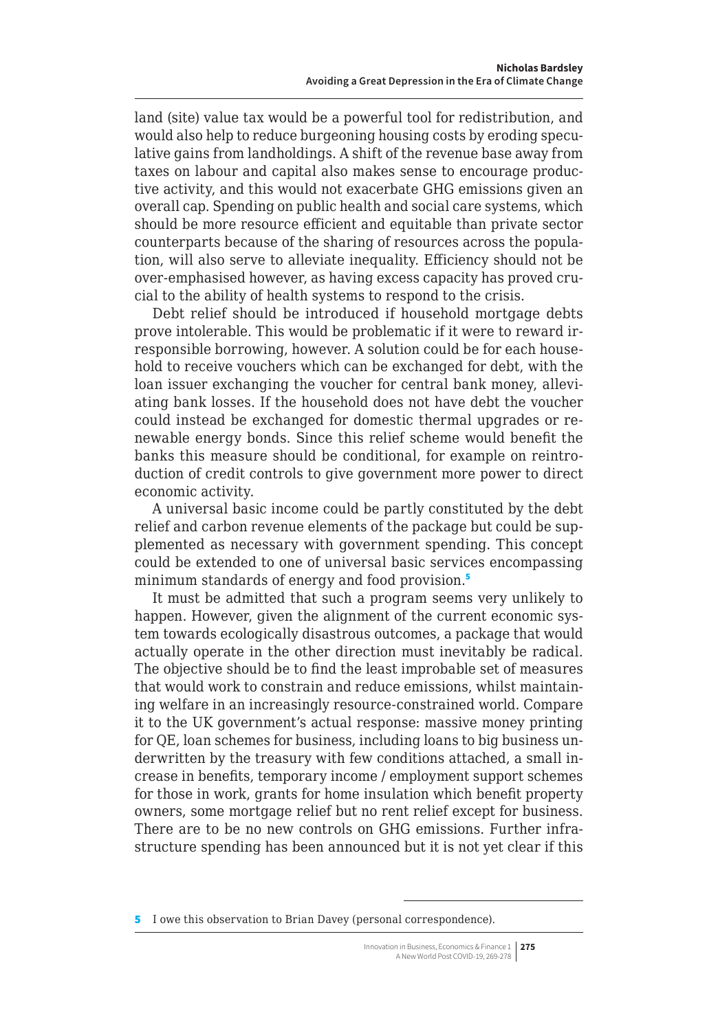land (site) value tax would be a powerful tool for redistribution, and would also help to reduce burgeoning housing costs by eroding speculative gains from landholdings. A shift of the revenue base away from taxes on labour and capital also makes sense to encourage productive activity, and this would not exacerbate GHG emissions given an overall cap. Spending on public health and social care systems, which should be more resource efficient and equitable than private sector counterparts because of the sharing of resources across the population, will also serve to alleviate inequality. Efficiency should not be over-emphasised however, as having excess capacity has proved crucial to the ability of health systems to respond to the crisis.

Debt relief should be introduced if household mortgage debts prove intolerable. This would be problematic if it were to reward irresponsible borrowing, however. A solution could be for each household to receive vouchers which can be exchanged for debt, with the loan issuer exchanging the voucher for central bank money, alleviating bank losses. If the household does not have debt the voucher could instead be exchanged for domestic thermal upgrades or renewable energy bonds. Since this relief scheme would benefit the banks this measure should be conditional, for example on reintroduction of credit controls to give government more power to direct economic activity.

A universal basic income could be partly constituted by the debt relief and carbon revenue elements of the package but could be supplemented as necessary with government spending. This concept could be extended to one of universal basic services encompassing minimum standards of energy and food provision.<sup>5</sup>

It must be admitted that such a program seems very unlikely to happen. However, given the alignment of the current economic system towards ecologically disastrous outcomes, a package that would actually operate in the other direction must inevitably be radical. The objective should be to find the least improbable set of measures that would work to constrain and reduce emissions, whilst maintaining welfare in an increasingly resource-constrained world. Compare it to the UK government's actual response: massive money printing for QE, loan schemes for business, including loans to big business underwritten by the treasury with few conditions attached, a small increase in benefits, temporary income / employment support schemes for those in work, grants for home insulation which benefit property owners, some mortgage relief but no rent relief except for business. There are to be no new controls on GHG emissions. Further infrastructure spending has been announced but it is not yet clear if this

<sup>5</sup> I owe this observation to Brian Davey (personal correspondence).

Innovation in Business, Economics & Finance 1 **275** A New World Post COVID-19, 269-278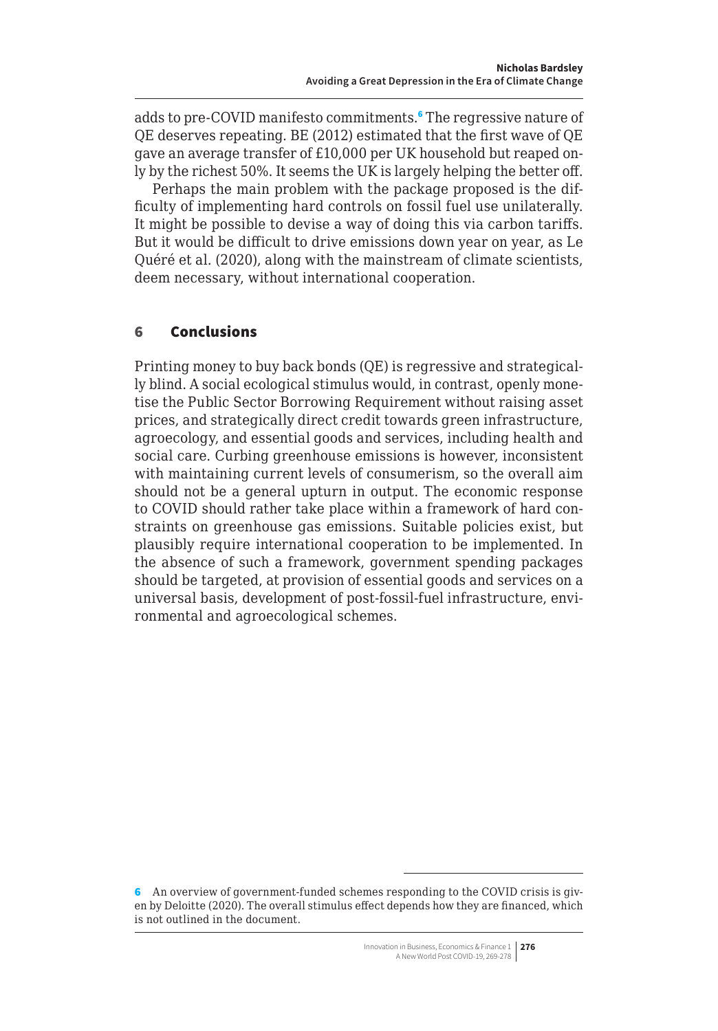<span id="page-7-0"></span>adds to pre-COVID manifesto commitments.<sup>6</sup> The regressive nature of QE deserves repeating. BE (2012) estimated that the first wave of QE gave an average transfer of £10,000 per UK household but reaped only by the richest 50%. It seems the UK is largely helping the better off.

Perhaps the main problem with the package proposed is the difficulty of implementing hard controls on fossil fuel use unilaterally. It might be possible to devise a way of doing this via carbon tariffs. But it would be difficult to drive emissions down year on year, as Le Quéré et al. (2020), along with the mainstream of climate scientists, deem necessary, without international cooperation.

### 6 Conclusions

Printing money to buy back bonds (QE) is regressive and strategically blind. A social ecological stimulus would, in contrast, openly monetise the Public Sector Borrowing Requirement without raising asset prices, and strategically direct credit towards green infrastructure, agroecology, and essential goods and services, including health and social care. Curbing greenhouse emissions is however, inconsistent with maintaining current levels of consumerism, so the overall aim should not be a general upturn in output. The economic response to COVID should rather take place within a framework of hard constraints on greenhouse gas emissions. Suitable policies exist, but plausibly require international cooperation to be implemented. In the absence of such a framework, government spending packages should be targeted, at provision of essential goods and services on a universal basis, development of post-fossil-fuel infrastructure, environmental and agroecological schemes.

<sup>6</sup> An overview of government-funded schemes responding to the COVID crisis is given by Deloitte (2020). The overall stimulus effect depends how they are financed, which is not outlined in the document.